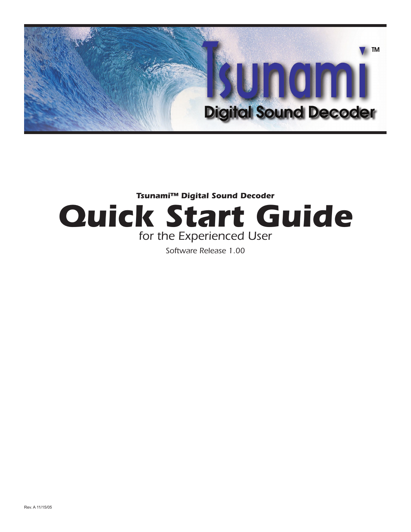

## **Tsunami™ Digital Sound Decoder Quick Start Guide** for the Experienced User

Software Release 1.00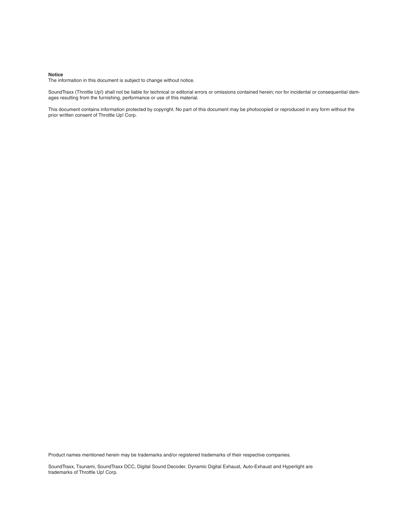#### **Notice**

The information in this document is subject to change without notice.

SoundTraxx (Throttle Up!) shall not be liable for technical or editorial errors or omissions contained herein; nor for incidental or consequential damages resulting from the furnishing, performance or use of this material.

This document contains information protected by copyright. No part of this document may be photocopied or reproduced in any form without the prior written consent of Throttle Up! Corp.

Product names mentioned herein may be trademarks and/or registered trademarks of their respective companies.

SoundTraxx, Tsunami, SoundTraxx DCC, Digital Sound Decoder, Dynamic Digital Exhaust, Auto-Exhaust and Hyperlight are trademarks of Throttle Up! Corp.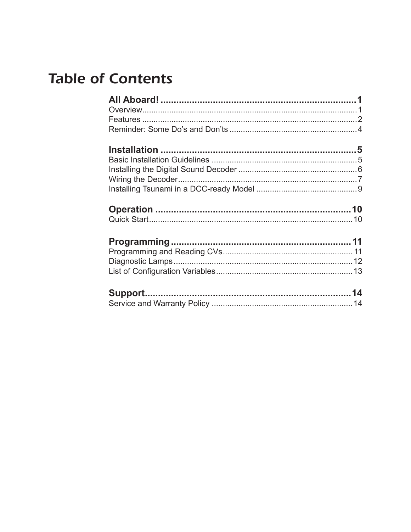## **Table of Contents**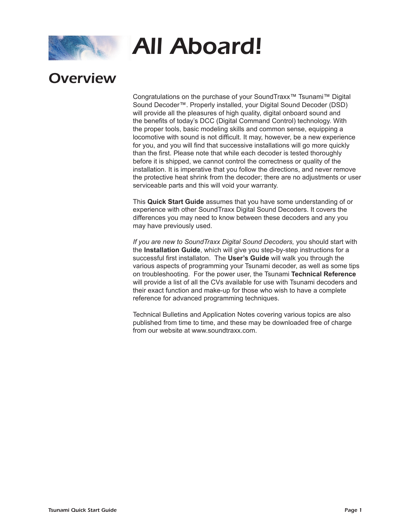

## **Overview**

Congratulations on the purchase of your SoundTraxx™ Tsunami™ Digital Sound Decoder™. Properly installed, your Digital Sound Decoder (DSD) will provide all the pleasures of high quality, digital onboard sound and the benefits of today's DCC (Digital Command Control) technology. With the proper tools, basic modeling skills and common sense, equipping a locomotive with sound is not difficult. It may, however, be a new experience for you, and you will find that successive installations will go more quickly than the first. Please note that while each decoder is tested thoroughly before it is shipped, we cannot control the correctness or quality of the installation. It is imperative that you follow the directions, and never remove the protective heat shrink from the decoder; there are no adjustments or user serviceable parts and this will void your warranty.

This **Quick Start Guide** assumes that you have some understanding of or experience with other SoundTraxx Digital Sound Decoders. It covers the differences you may need to know between these decoders and any you may have previously used.

*If you are new to SoundTraxx Digital Sound Decoders,* you should start with the **Installation Guide**, which will give you step-by-step instructions for a successful first installaton. The **User's Guide** will walk you through the various aspects of programming your Tsunami decoder, as well as some tips on troubleshooting. For the power user, the Tsunami **Technical Reference**  will provide a list of all the CVs available for use with Tsunami decoders and their exact function and make-up for those who wish to have a complete reference for advanced programming techniques.

Technical Bulletins and Application Notes covering various topics are also published from time to time, and these may be downloaded free of charge from our website at www.soundtraxx.com.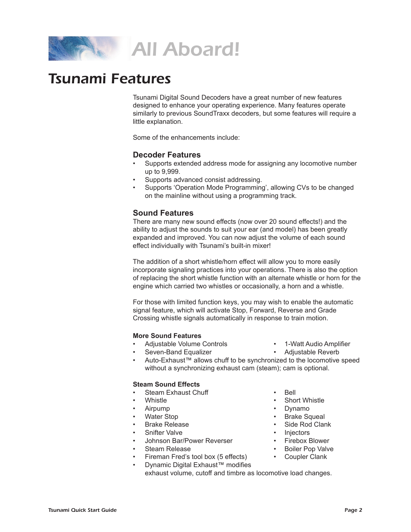

## Tsunami Features

Tsunami Digital Sound Decoders have a great number of new features designed to enhance your operating experience. Many features operate similarly to previous SoundTraxx decoders, but some features will require a little explanation.

Some of the enhancements include:

#### **Decoder Features**

- Supports extended address mode for assigning any locomotive number up to 9,999.
- Supports advanced consist addressing.
- Supports 'Operation Mode Programming', allowing CVs to be changed on the mainline without using a programming track.

#### **Sound Features**

There are many new sound effects (now over 20 sound effects!) and the ability to adjust the sounds to suit your ear (and model) has been greatly expanded and improved. You can now adjust the volume of each sound effect individually with Tsunami's built-in mixer!

The addition of a short whistle/horn effect will allow you to more easily incorporate signaling practices into your operations. There is also the option of replacing the short whistle function with an alternate whistle or horn for the engine which carried two whistles or occasionally, a horn and a whistle.

For those with limited function keys, you may wish to enable the automatic signal feature, which will activate Stop, Forward, Reverse and Grade Crossing whistle signals automatically in response to train motion.

#### **More Sound Features**

- Adjustable Volume Controls 1-Watt Audio Amplifier
	-
	- Seven-Band Equalizer Adjustable Reverb
- Auto-Exhaust™ allows chuff to be synchronized to the locomotive speed without a synchronizing exhaust cam (steam); cam is optional.

#### **Steam Sound Effects**

- **Steam Exhaust Chuff Bell**
- 
- 
- 
- 
- Snifter Valve Injectors
- Johnson Bar/Power Reverser Firebox Blower
- 
- Fireman Fred's tool box (5 effects) Coupler Clank
	- Dynamic Digital Exhaust™ modifies
	- exhaust volume, cutoff and timbre as locomotive load changes.
- 
- Whistle Short Whistle
- Airpump Dynamo Dynamo
- Water Stop Brake Squeal
- Brake Release Side Rod Clank
	-
	-
- Steam Release Boiler Pop Valve
	-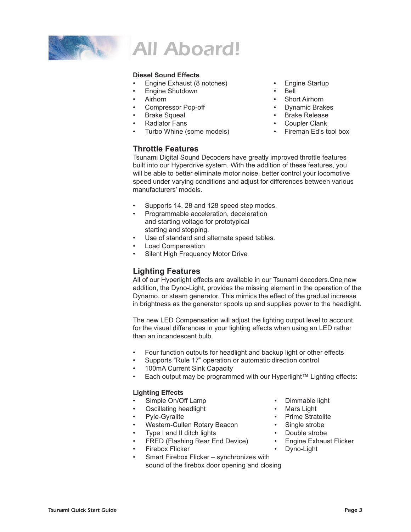

#### **Diesel Sound Effects**

- Engine Exhaust (8 notches) Engine Startup
- Engine Shutdown Bell
- 
- Compressor Pop-off Dynamic Brakes

**Throttle Features**

- 
- 
- Turbo Whine (some models) Fireman Ed's tool box

- 
- Airhorn Short Airhorn
	-
- Brake Squeal Brake Release
- Radiator Fans Coupler Clank
	-

Tsunami Digital Sound Decoders have greatly improved throttle features built into our Hyperdrive system. With the addition of these features, you will be able to better eliminate motor noise, better control your locomotive speed under varying conditions and adjust for differences between various manufacturers' models.

- Supports 14, 28 and 128 speed step modes.
- Programmable acceleration, deceleration and starting voltage for prototypical starting and stopping.
- Use of standard and alternate speed tables.
- Load Compensation
- Silent High Frequency Motor Drive

#### **Lighting Features**

All of our Hyperlight effects are available in our Tsunami decoders.One new addition, the Dyno-Light, provides the missing element in the operation of the Dynamo, or steam generator. This mimics the effect of the gradual increase in brightness as the generator spools up and supplies power to the headlight.

The new LED Compensation will adjust the lighting output level to account for the visual differences in your lighting effects when using an LED rather than an incandescent bulb.

- Four function outputs for headlight and backup light or other effects
- Supports "Rule 17" operation or automatic direction control
- 100mA Current Sink Capacity
- Each output may be programmed with our Hyperlight™ Lighting effects:

#### **Lighting Effects**

- Simple On/Off Lamp Dimmable light
- Oscillating headlight Mars Light
- 
- Pyle-Gyralite<br>
Western-Cullen Rotary Beacon<br>
 Single strobe<br>
 Single strobe Western-Cullen Rotary Beacon
- Type I and II ditch lights Double strobe
- FRED (Flashing Rear End Device) Engine Exhaust Flicker
- Firebox Flicker Dyno-Light
- Smart Firebox Flicker synchronizes with sound of the firebox door opening and closing
- 
- 
- 
- 
- 
- 
-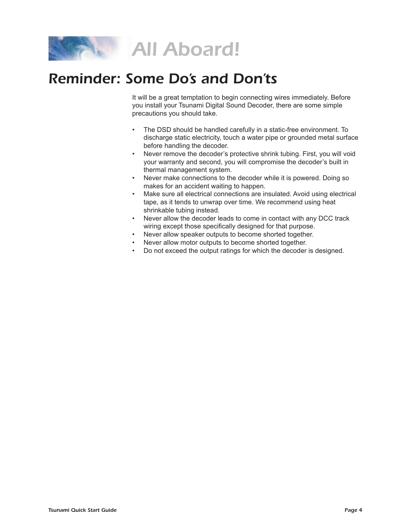

## Reminder: Some Do's and Don'ts

It will be a great temptation to begin connecting wires immediately. Before you install your Tsunami Digital Sound Decoder, there are some simple precautions you should take.

- The DSD should be handled carefully in a static-free environment. To discharge static electricity, touch a water pipe or grounded metal surface before handling the decoder.
- Never remove the decoder's protective shrink tubing. First, you will void your warranty and second, you will compromise the decoder's built in thermal management system.
- Never make connections to the decoder while it is powered. Doing so makes for an accident waiting to happen.
- Make sure all electrical connections are insulated. Avoid using electrical tape, as it tends to unwrap over time. We recommend using heat shrinkable tubing instead.
- Never allow the decoder leads to come in contact with any DCC track wiring except those specifically designed for that purpose.
- Never allow speaker outputs to become shorted together.
- Never allow motor outputs to become shorted together.
- Do not exceed the output ratings for which the decoder is designed.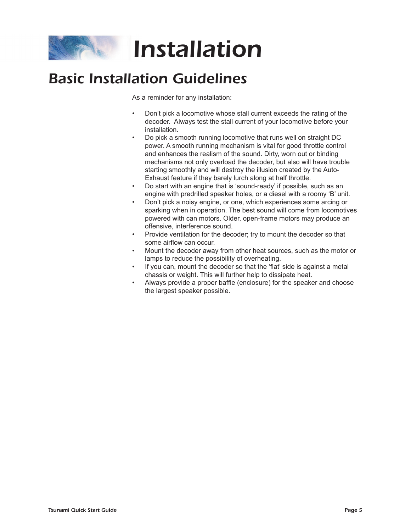

## Basic Installation Guidelines

As a reminder for any installation:

- Don't pick a locomotive whose stall current exceeds the rating of the decoder. Always test the stall current of your locomotive before your installation.
- Do pick a smooth running locomotive that runs well on straight DC power. A smooth running mechanism is vital for good throttle control and enhances the realism of the sound. Dirty, worn out or binding mechanisms not only overload the decoder, but also will have trouble starting smoothly and will destroy the illusion created by the Auto-Exhaust feature if they barely lurch along at half throttle.
- Do start with an engine that is 'sound-ready' if possible, such as an engine with predrilled speaker holes, or a diesel with a roomy 'B' unit.
- Don't pick a noisy engine, or one, which experiences some arcing or sparking when in operation. The best sound will come from locomotives powered with can motors. Older, open-frame motors may produce an offensive, interference sound.
- Provide ventilation for the decoder; try to mount the decoder so that some airflow can occur.
- Mount the decoder away from other heat sources, such as the motor or lamps to reduce the possibility of overheating.
- If you can, mount the decoder so that the 'flat' side is against a metal chassis or weight. This will further help to dissipate heat.
- Always provide a proper baffle (enclosure) for the speaker and choose the largest speaker possible.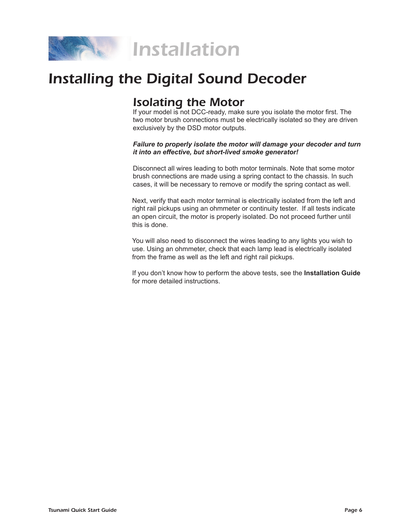

## Installing the Digital Sound Decoder

## Isolating the Motor

If your model is not DCC-ready, make sure you isolate the motor first. The two motor brush connections must be electrically isolated so they are driven exclusively by the DSD motor outputs.

#### *Failure to properly isolate the motor will damage your decoder and turn it into an effective, but short-lived smoke generator!*

Disconnect all wires leading to both motor terminals. Note that some motor brush connections are made using a spring contact to the chassis. In such cases, it will be necessary to remove or modify the spring contact as well.

Next, verify that each motor terminal is electrically isolated from the left and right rail pickups using an ohmmeter or continuity tester. If all tests indicate an open circuit, the motor is properly isolated. Do not proceed further until this is done.

You will also need to disconnect the wires leading to any lights you wish to use. Using an ohmmeter, check that each lamp lead is electrically isolated from the frame as well as the left and right rail pickups.

If you don't know how to perform the above tests, see the **Installation Guide** for more detailed instructions.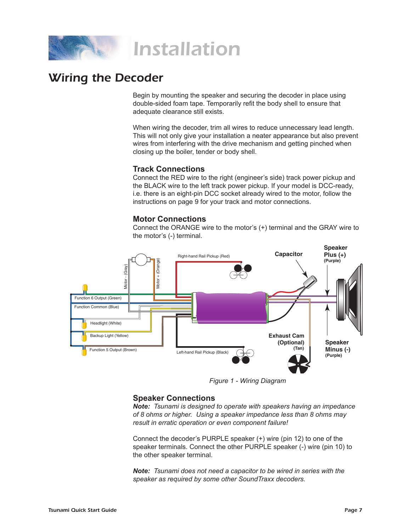

## Wiring the Decoder

Begin by mounting the speaker and securing the decoder in place using double-sided foam tape. Temporarily refit the body shell to ensure that adequate clearance still exists.

When wiring the decoder, trim all wires to reduce unnecessary lead length. This will not only give your installation a neater appearance but also prevent wires from interfering with the drive mechanism and getting pinched when closing up the boiler, tender or body shell.

#### **Track Connections**

Connect the RED wire to the right (engineer's side) track power pickup and the BLACK wire to the left track power pickup. If your model is DCC-ready, i.e. there is an eight-pin DCC socket already wired to the motor, follow the instructions on page 9 for your track and motor connections.

#### **Motor Connections**

Connect the ORANGE wire to the motor's (+) terminal and the GRAY wire to the motor's (-) terminal.



*Figure 1 - Wiring Diagram*

#### **Speaker Connections**

*Note: Tsunami is designed to operate with speakers having an impedance of 8 ohms or higher. Using a speaker impedance less than 8 ohms may result in erratic operation or even component failure!*

Connect the decoder's PURPLE speaker (+) wire (pin 12) to one of the speaker terminals. Connect the other PURPLE speaker (-) wire (pin 10) to the other speaker terminal.

*Note: Tsunami does not need a capacitor to be wired in series with the speaker as required by some other SoundTraxx decoders.*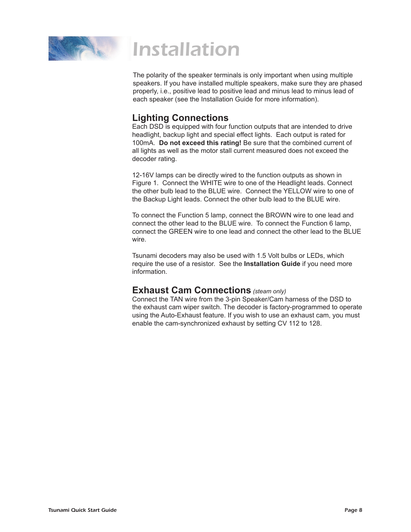

The polarity of the speaker terminals is only important when using multiple speakers. If you have installed multiple speakers, make sure they are phased properly, i.e., positive lead to positive lead and minus lead to minus lead of each speaker (see the Installation Guide for more information).

#### **Lighting Connections**

Each DSD is equipped with four function outputs that are intended to drive headlight, backup light and special effect lights. Each output is rated for 100mA. **Do not exceed this rating!** Be sure that the combined current of all lights as well as the motor stall current measured does not exceed the decoder rating.

12-16V lamps can be directly wired to the function outputs as shown in Figure 1. Connect the WHITE wire to one of the Headlight leads. Connect the other bulb lead to the BLUE wire. Connect the YELLOW wire to one of the Backup Light leads. Connect the other bulb lead to the BLUE wire.

To connect the Function 5 lamp, connect the BROWN wire to one lead and connect the other lead to the BLUE wire. To connect the Function 6 lamp, connect the GREEN wire to one lead and connect the other lead to the BLUE wire.

Tsunami decoders may also be used with 1.5 Volt bulbs or LEDs, which require the use of a resistor. See the **Installation Guide** if you need more information.

#### **Exhaust Cam Connections** *(steam only)*

Connect the TAN wire from the 3-pin Speaker/Cam harness of the DSD to the exhaust cam wiper switch. The decoder is factory-programmed to operate using the Auto-Exhaust feature. If you wish to use an exhaust cam, you must enable the cam-synchronized exhaust by setting CV 112 to 128.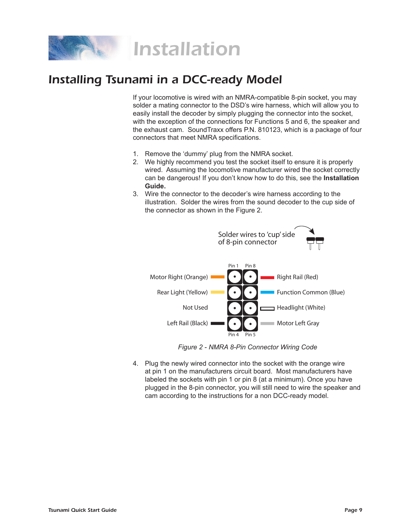

## Installing Tsunami in a DCC-ready Model

If your locomotive is wired with an NMRA-compatible 8-pin socket, you may solder a mating connector to the DSD's wire harness, which will allow you to easily install the decoder by simply plugging the connector into the socket, with the exception of the connections for Functions 5 and 6, the speaker and the exhaust cam. SoundTraxx offers P.N. 810123, which is a package of four connectors that meet NMRA specifications.

- 1. Remove the 'dummy' plug from the NMRA socket.
- 2. We highly recommend you test the socket itself to ensure it is properly wired. Assuming the locomotive manufacturer wired the socket correctly can be dangerous! If you don't know how to do this, see the **Installation Guide.**
- 3. Wire the connector to the decoder's wire harness according to the illustration. Solder the wires from the sound decoder to the cup side of the connector as shown in the Figure 2.



*Figure 2 - NMRA 8-Pin Connector Wiring Code*

4. Plug the newly wired connector into the socket with the orange wire at pin 1 on the manufacturers circuit board. Most manufacturers have labeled the sockets with pin 1 or pin 8 (at a minimum). Once you have plugged in the 8-pin connector, you will still need to wire the speaker and cam according to the instructions for a non DCC-ready model.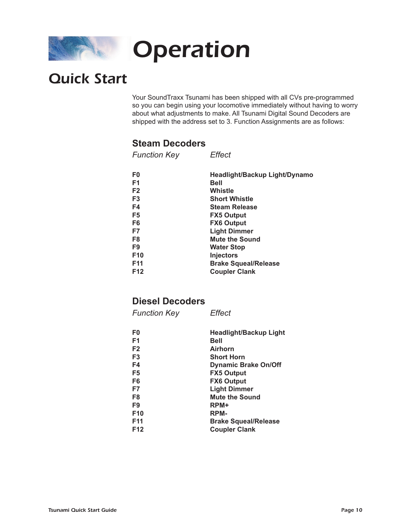

## Quick Start

Your SoundTraxx Tsunami has been shipped with all CVs pre-programmed so you can begin using your locomotive immediately without having to worry about what adjustments to make. All Tsunami Digital Sound Decoders are shipped with the address set to 3. Function Assignments are as follows:

#### **Steam Decoders**

| <b>Function Key</b> | Effect                        |
|---------------------|-------------------------------|
| F0                  | Headlight/Backup Light/Dynamo |
| F <sub>1</sub>      | Bell                          |
| F <sub>2</sub>      | Whistle                       |
| F <sub>3</sub>      | <b>Short Whistle</b>          |
| F4                  | <b>Steam Release</b>          |
| F <sub>5</sub>      | <b>FX5 Output</b>             |
| F <sub>6</sub>      | <b>FX6 Output</b>             |
| F7                  | <b>Light Dimmer</b>           |
| F8                  | <b>Mute the Sound</b>         |
| F <sub>9</sub>      | <b>Water Stop</b>             |
| F <sub>10</sub>     | <b>Injectors</b>              |
| F <sub>11</sub>     | <b>Brake Squeal/Release</b>   |
| F12                 | <b>Coupler Clank</b>          |
|                     |                               |

#### **Diesel Decoders**

*Function Key Effect*

| F0              | Headlight/Backup Light      |
|-----------------|-----------------------------|
| F <sub>1</sub>  | <b>Bell</b>                 |
| F <sub>2</sub>  | <b>Airhorn</b>              |
| F <sub>3</sub>  | <b>Short Horn</b>           |
| F4              | <b>Dynamic Brake On/Off</b> |
| F <sub>5</sub>  | <b>FX5 Output</b>           |
| F <sub>6</sub>  | <b>FX6 Output</b>           |
| F7              | <b>Light Dimmer</b>         |
| F <sub>8</sub>  | <b>Mute the Sound</b>       |
| F9              | RPM+                        |
| F <sub>10</sub> | RPM-                        |
| F <sub>11</sub> | <b>Brake Squeal/Release</b> |
| F <sub>12</sub> | <b>Coupler Clank</b>        |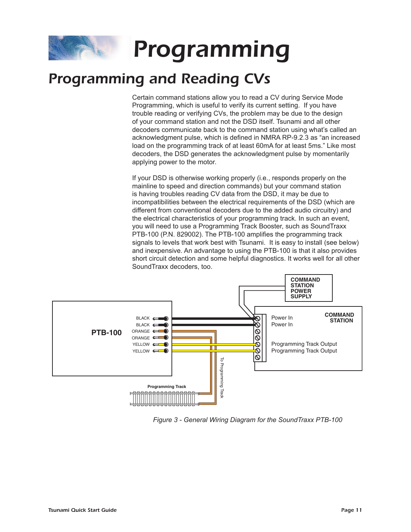# Programming

## Programming and Reading CVs

Certain command stations allow you to read a CV during Service Mode Programming, which is useful to verify its current setting. If you have trouble reading or verifying CVs, the problem may be due to the design of your command station and not the DSD itself. Tsunami and all other decoders communicate back to the command station using what's called an acknowledgment pulse, which is defined in NMRA RP-9.2.3 as "an increased load on the programming track of at least 60mA for at least 5ms." Like most decoders, the DSD generates the acknowledgment pulse by momentarily applying power to the motor.

If your DSD is otherwise working properly (i.e., responds properly on the mainline to speed and direction commands) but your command station is having troubles reading CV data from the DSD, it may be due to incompatibilities between the electrical requirements of the DSD (which are different from conventional decoders due to the added audio circuitry) and the electrical characteristics of your programming track. In such an event, you will need to use a Programming Track Booster, such as SoundTraxx PTB-100 (P.N. 829002). The PTB-100 amplifies the programming track signals to levels that work best with Tsunami. It is easy to install (see below) and inexpensive. An advantage to using the PTB-100 is that it also provides short circuit detection and some helpful diagnostics. It works well for all other SoundTraxx decoders, too.



*Figure 3 - General Wiring Diagram for the SoundTraxx PTB-100*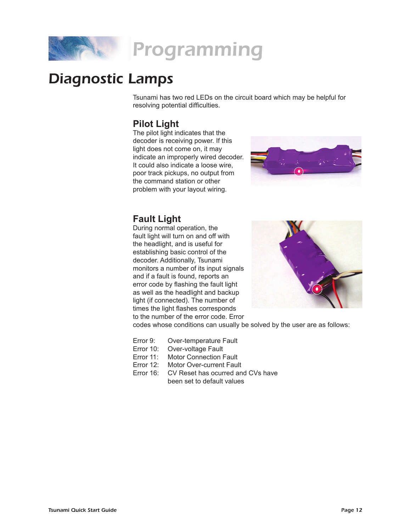

## Diagnostic Lamps

Tsunami has two red LEDs on the circuit board which may be helpful for resolving potential difficulties.

### **Pilot Light**

The pilot light indicates that the decoder is receiving power. If this light does not come on, it may indicate an improperly wired decoder. It could also indicate a loose wire, poor track pickups, no output from the command station or other problem with your layout wiring.



#### **Fault Light**

During normal operation, the fault light will turn on and off with the headlight, and is useful for establishing basic control of the decoder. Additionally, Tsunami monitors a number of its input signals and if a fault is found, reports an error code by flashing the fault light as well as the headlight and backup light (if connected). The number of times the light flashes corresponds to the number of the error code. Error



codes whose conditions can usually be solved by the user are as follows:

- Error 9: Over-temperature Fault
- Error 10: Over-voltage Fault
- Error 11: Motor Connection Fault
- Error 12: Motor Over-current Fault
- Error 16: CV Reset has ocurred and CVs have been set to default values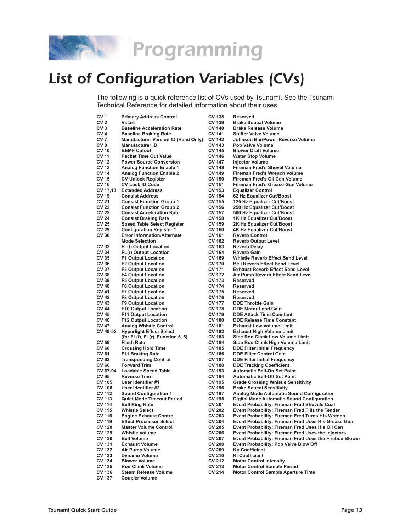

## List of Configuration Variables (CVs)

The following is a quick reference list of CVs used by Tsunami. See the Tsunami Technical Reference for detailed information about their uses.

| CV <sub>1</sub> | <b>Primary Address Control</b>             | <b>CV 138</b> | <b>Reserved</b>                                         |
|-----------------|--------------------------------------------|---------------|---------------------------------------------------------|
| CV <sub>2</sub> | <b>Vstart</b>                              | <b>CV 139</b> | <b>Brake Squeal Volume</b>                              |
| CV <sub>3</sub> | <b>Baseline Acceleration Rate</b>          | <b>CV 140</b> | <b>Brake Release Volume</b>                             |
|                 |                                            |               |                                                         |
| CV <sub>4</sub> | <b>Baseline Braking Rate</b>               | <b>CV 141</b> | Snifter Valve Volume                                    |
| CV <sub>7</sub> | <b>Manufacturer Version ID (Read Only)</b> | <b>CV 142</b> | Johnson Bar/Power Reverse Volume                        |
| CV <sub>8</sub> | <b>Manufacturer ID</b>                     | <b>CV 143</b> | Pop Valve Volume                                        |
| <b>CV 10</b>    | <b>BEMF Cutout</b>                         | <b>CV 145</b> | <b>Blower Draft Volume</b>                              |
|                 |                                            |               |                                                         |
| <b>CV 11</b>    | <b>Packet Time Out Value</b>               | <b>CV 146</b> | <b>Water Stop Volume</b>                                |
| <b>CV 12</b>    | <b>Power Source Conversion</b>             | <b>CV 147</b> | <b>Injector Volume</b>                                  |
| <b>CV 13</b>    | <b>Analog Function Enable 1</b>            | <b>CV 148</b> | <b>Fireman Fred's Shovel Volume</b>                     |
| <b>CV 14</b>    | <b>Analog Function Enable 2</b>            | <b>CV 149</b> | <b>Fireman Fred's Wrench Volume</b>                     |
| <b>CV 15</b>    | <b>CV Unlock Register</b>                  | <b>CV 150</b> | Fireman Fred's Oil Can Volume                           |
|                 |                                            |               |                                                         |
| <b>CV 16</b>    | <b>CV Lock ID Code</b>                     | <b>CV 151</b> | Fireman Fred's Grease Gun Volume                        |
| CV 17,18        | <b>Extended Address</b>                    | CV 153        | <b>Equalizer Control</b>                                |
| <b>CV 19</b>    | <b>Consist Address</b>                     | <b>CV 154</b> | 62 Hz Equalizer Cut/Boost                               |
| <b>CV 21</b>    | <b>Consist Function Group 1</b>            | <b>CV 155</b> | 125 Hz Equalizer Cut/Boost                              |
|                 |                                            |               |                                                         |
| <b>CV 22</b>    | <b>Consist Function Group 2</b>            | <b>CV 156</b> | 250 Hz Equalizer Cut/Boost                              |
| <b>CV 23</b>    | <b>Consist Acceleration Rate</b>           | <b>CV 157</b> | 500 Hz Equalizer Cut/Boost                              |
| <b>CV 24</b>    | <b>Consist Braking Rate</b>                | <b>CV 158</b> | 1K Hz Equalizer Cut/Boost                               |
| <b>CV 25</b>    | <b>Speed Table Select Register</b>         | <b>CV 159</b> | 2K Hz Equalizer Cut/Boost                               |
|                 |                                            |               |                                                         |
| <b>CV 29</b>    | <b>Configuration Register 1</b>            | <b>CV 160</b> | <b>4K Hz Equalizer Cut/Boost</b>                        |
| <b>CV 30</b>    | <b>Error Information/Alternate</b>         | <b>CV 161</b> | <b>Reverb Control</b>                                   |
|                 | <b>Mode Selection</b>                      | <b>CV 162</b> | <b>Reverb Output Level</b>                              |
| <b>CV 33</b>    | <b>FL(f) Output Location</b>               | CV 163        | <b>Reverb Delay</b>                                     |
| <b>CV 34</b>    |                                            | <b>CV 164</b> | <b>Reverb Gain</b>                                      |
|                 | <b>FL(r) Output Location</b>               |               |                                                         |
| <b>CV 35</b>    | <b>F1 Output Location</b>                  | <b>CV 169</b> | <b>Whistle Reverb Effect Send Level</b>                 |
| <b>CV 36</b>    | <b>F2 Output Location</b>                  | <b>CV 170</b> | <b>Bell Reverb Effect Send Level</b>                    |
| <b>CV 37</b>    | <b>F3 Output Location</b>                  | <b>CV 171</b> | <b>Exhaust Reverb Effect Send Level</b>                 |
| <b>CV 38</b>    | <b>F4 Output Location</b>                  | <b>CV 172</b> | Air Pump Reverb Effect Send Level                       |
|                 |                                            |               |                                                         |
| <b>CV 39</b>    | <b>F5 Output Location</b>                  | <b>CV 173</b> | <b>Reserved</b>                                         |
| <b>CV 40</b>    | <b>F6 Output Location</b>                  | <b>CV 174</b> | <b>Reserved</b>                                         |
| <b>CV 41</b>    | <b>F7 Output Location</b>                  | <b>CV 175</b> | <b>Reserved</b>                                         |
| <b>CV 42</b>    | <b>F8 Output Location</b>                  | <b>CV 176</b> | Reserved                                                |
| CV 43           |                                            | <b>CV 177</b> | <b>DDE Throttle Gain</b>                                |
|                 | <b>F9 Output Location</b>                  |               |                                                         |
| <b>CV 44</b>    | <b>F10 Output Location</b>                 | <b>CV 178</b> | <b>DDE Motor Load Gain</b>                              |
| <b>CV 45</b>    | <b>F11 Output Location</b>                 | <b>CV 179</b> | <b>DDE Attack Time Constant</b>                         |
| <b>CV 46</b>    | <b>F12 Output Location</b>                 | <b>CV 180</b> | <b>DDE Release Time Constant</b>                        |
| <b>CV 47</b>    | <b>Analog Whistle Control</b>              | <b>CV 181</b> | <b>Exhaust Low Volume Limit</b>                         |
|                 |                                            |               |                                                         |
| CV 49-52        | <b>Hyperlight Effect Select</b>            | <b>CV 182</b> | <b>Exhaust High Volume Limit</b>                        |
|                 | (for $FL(f)$ , $FL(r)$ , Function 5, 6)    | <b>CV 183</b> | Side Rod Clank Low Volume Limit                         |
| <b>CV 59</b>    | <b>Flash Rate</b>                          | <b>CV 184</b> | Side Rod Clank High Volume Limit                        |
| <b>CV 60</b>    | <b>Crossing Hold Time</b>                  | <b>CV 185</b> | <b>DDE Filter Initial Frequency</b>                     |
| <b>CV 61</b>    |                                            |               |                                                         |
|                 | <b>F11 Braking Rate</b>                    | <b>CV 186</b> | <b>DDE Filter Control Gain</b>                          |
| CV 62           | <b>Transponding Control</b>                | <b>CV 187</b> | <b>DDE Filter Initial Frequency</b>                     |
| <b>CV 66</b>    | <b>Forward Trim</b>                        | <b>CV 188</b> | <b>DDE Tracking Coefficient</b>                         |
| CV 67-94        | <b>Loadable Speed Table</b>                | <b>CV 193</b> | <b>Automatic Bell-On Set Point</b>                      |
| <b>CV 95</b>    | <b>Reverse Trim</b>                        | <b>CV 194</b> | <b>Automatic Bell-Off Set Point</b>                     |
|                 |                                            |               |                                                         |
| <b>CV 105</b>   | User Identifier #1                         | <b>CV 195</b> | <b>Grade Crossing Whistle Sensitivity</b>               |
| <b>CV 106</b>   | User Identifier #2                         | <b>CV 196</b> | <b>Brake Squeal Sensitivity</b>                         |
| <b>CV 112</b>   | <b>Sound Configuration 1</b>               | <b>CV 197</b> | Analog Mode Automatic Sound Configuration               |
| <b>CV 113</b>   | Quiet Mode Timeout Period                  | <b>CV 198</b> | Digital Mode Automatic Sound Configuration              |
| <b>CV 114</b>   | <b>Bell Ring Rate</b>                      | <b>CV 201</b> | <b>Event Probability: Fireman Fred Shovels Coal</b>     |
|                 |                                            |               |                                                         |
| <b>CV 115</b>   | <b>Whistle Select</b>                      | <b>CV 202</b> | Event Probability: Fireman Fred Fills the Tender        |
| <b>CV 116</b>   | <b>Engine Exhaust Control</b>              | <b>CV 203</b> | Event Probability: Fireman Fred Turns His Wrench        |
| <b>CV 119</b>   | <b>Effect Processor Select</b>             | <b>CV 204</b> | Event Probability: Fireman Fred Uses His Grease Gun     |
| <b>CV 128</b>   | <b>Master Volume Control</b>               | <b>CV 205</b> | Event Probability: Fireman Fred Uses His Oil Can        |
|                 |                                            |               |                                                         |
| <b>CV 129</b>   | <b>Whistle Volume</b>                      | <b>CV 206</b> | Event Probability: Fireman Fred Uses the Injectors      |
| <b>CV 130</b>   | <b>Bell Volume</b>                         | <b>CV 207</b> | Event Probability: Fireman Fred Uses the Firebox Blower |
| <b>CV 131</b>   | <b>Exhaust Volume</b>                      | <b>CV 208</b> | Event Probability: Pop Valve Blow Off                   |
| <b>CV 132</b>   | Air Pump Volume                            | <b>CV 209</b> | <b>Kp Coefficient</b>                                   |
| <b>CV 133</b>   | <b>Dynamo Volume</b>                       | <b>CV 210</b> | <b>Ki Coefficient</b>                                   |
|                 |                                            |               |                                                         |
| <b>CV 134</b>   | <b>Blower Volume</b>                       | <b>CV 212</b> | <b>Motor Control Intensity</b>                          |
| <b>CV 135</b>   | <b>Rod Clank Volume</b>                    | <b>CV 213</b> | <b>Motor Control Sample Period</b>                      |
| <b>CV 136</b>   | <b>Steam Release Volume</b>                | CV 214        | <b>Motor Control Sample Aperture Time</b>               |
| <b>CV 137</b>   | <b>Coupler Volume</b>                      |               |                                                         |
|                 |                                            |               |                                                         |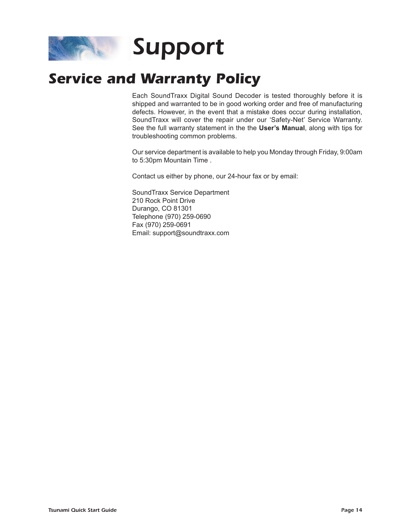

## **Service and Warranty Policy**

Each SoundTraxx Digital Sound Decoder is tested thoroughly before it is shipped and warranted to be in good working order and free of manufacturing defects. However, in the event that a mistake does occur during installation, SoundTraxx will cover the repair under our 'Safety-Net' Service Warranty. See the full warranty statement in the the **User's Manual**, along with tips for troubleshooting common problems.

Our service department is available to help you Monday through Friday, 9:00am to 5:30pm Mountain Time .

Contact us either by phone, our 24-hour fax or by email:

SoundTraxx Service Department 210 Rock Point Drive Durango, CO 81301 Telephone (970) 259-0690 Fax (970) 259-0691 Email: support@soundtraxx.com